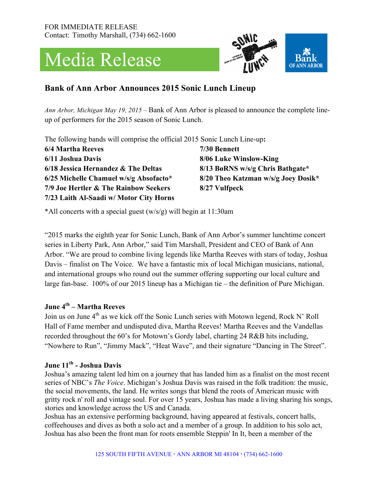# Media Release



# **Bank of Ann Arbor Announces 2015 Sonic Lunch Lineup**

*Ann Arbor, Michigan May 19, 2015 –* Bank of Ann Arbor is pleased to announce the complete lineup of performers for the 2015 season of Sonic Lunch.

The following bands will comprise the official 2015 Sonic Lunch Line-up**:**

| <b>6/4 Martha Reeves</b>                | 7/30 Bennett   |
|-----------------------------------------|----------------|
| 6/11 Joshua Davis                       | 8/06 Luke Wi   |
| 6/18 Jessica Hernandez $\&$ The Deltas  | $8/13$ BøRNS w |
| 6/25 Michelle Chamuel w/s/g Absofacto*  | 8/20 Theo Kat  |
| 7/9 Joe Hertler & The Rainbow Seekers   | 8/27 Vulfpeck  |
| 7/23 Laith Al-Saadi w/ Motor City Horns |                |

**6 Winslow-King ENS w/s/g Chris Bathgate\* 6/25 Michelle Chamuel w/s/g Absofacto\* 8/20 Theo Katzman w/s/g Joey Dosik\***

\*All concerts with a special guest (w/s/g) will begin at 11:30am

"2015 marks the eighth year for Sonic Lunch, Bank of Ann Arbor's summer lunchtime concert series in Liberty Park, Ann Arbor," said Tim Marshall, President and CEO of Bank of Ann Arbor. "We are proud to combine living legends like Martha Reeves with stars of today, Joshua Davis – finalist on The Voice. We have a fantastic mix of local Michigan musicians, national, and international groups who round out the summer offering supporting our local culture and large fan-base. 100% of our 2015 lineup has a Michigan tie – the definition of Pure Michigan.

#### **June 4th – Martha Reeves**

Join us on June 4<sup>th</sup> as we kick off the Sonic Lunch series with Motown legend, Rock N' Roll Hall of Fame member and undisputed diva, Martha Reeves! Martha Reeves and the Vandellas recorded throughout the 60's for Motown's Gordy label, charting 24 R&B hits including, "Nowhere to Run", "Jimmy Mack", "Heat Wave", and their signature "Dancing in The Street".

#### **June 11th - Joshua Davis**

Joshua's amazing talent led him on a journey that has landed him as a finalist on the most recent series of NBC's *The Voice*. Michigan's Joshua Davis was raised in the folk tradition: the music, the social movements, the land. He writes songs that blend the roots of American music with gritty rock n' roll and vintage soul. For over 15 years, Joshua has made a living sharing his songs, stories and knowledge across the US and Canada.

Joshua has an extensive performing background, having appeared at festivals, concert halls, coffeehouses and dives as both a solo act and a member of a group. In addition to his solo act, Joshua has also been the front man for roots ensemble Steppin' In It, been a member of the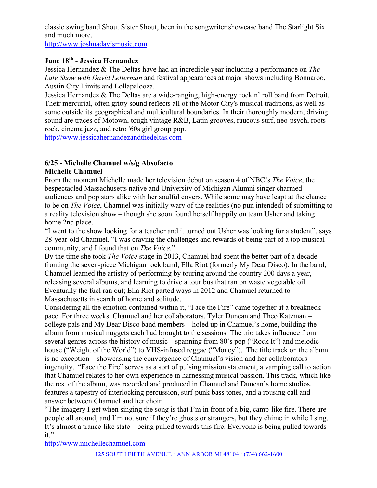classic swing band Shout Sister Shout, been in the songwriter showcase band The Starlight Six and much more.

http://www.joshuadavismusic.com

## **June 18th - Jessica Hernandez**

Jessica Hernandez & The Deltas have had an incredible year including a performance on *The Late Show with David Letterman* and festival appearances at major shows including Bonnaroo, Austin City Limits and Lollapalooza.

Jessica Hernandez & The Deltas are a wide-ranging, high-energy rock n' roll band from Detroit. Their mercurial, often gritty sound reflects all of the Motor City's musical traditions, as well as some outside its geographical and multicultural boundaries. In their thoroughly modern, driving sound are traces of Motown, tough vintage R&B, Latin grooves, raucous surf, neo-psych, roots rock, cinema jazz, and retro '60s girl group pop.

http://www.jessicahernandezandthedeltas.com

## **6/25 - Michelle Chamuel w/s/g Absofacto**

#### **Michelle Chamuel**

From the moment Michelle made her television debut on season 4 of NBC's *The Voice*, the bespectacled Massachusetts native and University of Michigan Alumni singer charmed audiences and pop stars alike with her soulful covers. While some may have leapt at the chance to be on *The Voice*, Chamuel was initially wary of the realities (no pun intended) of submitting to a reality television show – though she soon found herself happily on team Usher and taking home 2nd place.

"I went to the show looking for a teacher and it turned out Usher was looking for a student", says 28-year-old Chamuel. "I was craving the challenges and rewards of being part of a top musical community, and I found that on *The Voice*."

By the time she took *The Voice* stage in 2013, Chamuel had spent the better part of a decade fronting the seven-piece Michigan rock band, Ella Riot (formerly My Dear Disco). In the band, Chamuel learned the artistry of performing by touring around the country 200 days a year, releasing several albums, and learning to drive a tour bus that ran on waste vegetable oil. Eventually the fuel ran out; Ella Riot parted ways in 2012 and Chamuel returned to Massachusetts in search of home and solitude.

Considering all the emotion contained within it, "Face the Fire" came together at a breakneck pace. For three weeks, Chamuel and her collaborators, Tyler Duncan and Theo Katzman – college pals and My Dear Disco band members – holed up in Chamuel's home, building the album from musical nuggets each had brought to the sessions. The trio takes influence from several genres across the history of music – spanning from 80's pop ("Rock It") and melodic house ("Weight of the World") to VHS-infused reggae ("Money"). The title track on the album is no exception – showcasing the convergence of Chamuel's vision and her collaborators ingenuity. "Face the Fire" serves as a sort of pulsing mission statement, a vamping call to action that Chamuel relates to her own experience in harnessing musical passion. This track, which like the rest of the album, was recorded and produced in Chamuel and Duncan's home studios, features a tapestry of interlocking percussion, surf-punk bass tones, and a rousing call and answer between Chamuel and her choir.

"The imagery I get when singing the song is that I'm in front of a big, camp-like fire. There are people all around, and I'm not sure if they're ghosts or strangers, but they chime in while I sing. It's almost a trance-like state – being pulled towards this fire. Everyone is being pulled towards it."

http://www.michellechamuel.com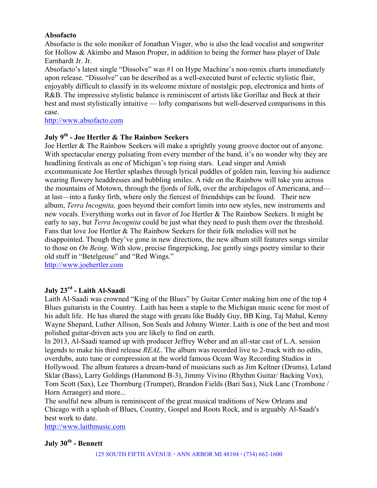#### **Absofacto**

Absofacto is the solo moniker of Jonathan Visger, who is also the lead vocalist and songwriter for Hollow & Akimbo and Mason Proper, in addition to being the former bass player of Dale Earnhardt Jr. Jr.

Absofacto's latest single "Dissolve" was #1 on Hype Machine's non-remix charts immediately upon release. "Dissolve" can be described as a well-executed burst of eclectic stylistic flair, enjoyably difficult to classify in its welcome mixture of nostalgic pop, electronica and hints of R&B. The impressive stylistic balance is reminiscent of artists like Gorillaz and Beck at their best and most stylistically intuitive — lofty comparisons but well-deserved comparisons in this case.

http://www.absofacto.com

## **July 9th - Joe Hertler & The Rainbow Seekers**

Joe Hertler & The Rainbow Seekers will make a sprightly young groove doctor out of anyone. With spectacular energy pulsating from every member of the band, it's no wonder why they are headlining festivals as one of Michigan's top rising stars. Lead singer and Amish excommunicate Joe Hertler splashes through lyrical puddles of golden rain, leaving his audience wearing flowery headdresses and bubbling smiles. A ride on the Rainbow will take you across the mountains of Motown, through the fjords of folk, over the archipelagos of Americana, and at last—into a funky firth, where only the fiercest of friendships can be found. Their new album, *Terra Incognita,* goes beyond their comfort limits into new styles, new instruments and new vocals. Everything works out in favor of Joe Hertler & The Rainbow Seekers. It might be early to say, but *Terra Incognita* could be just what they need to push them over the threshold. Fans that love Joe Hertler & The Rainbow Seekers for their folk melodies will not be disappointed. Though they've gone in new directions, the new album still features songs similar to those on *On Being*. With slow, precise fingerpicking, Joe gently sings poetry similar to their old stuff in "Betelgeuse" and "Red Wings."

http://www.joehertler.com

## **July 23rd - Laith Al-Saadi**

Laith Al-Saadi was crowned "King of the Blues" by Guitar Center making him one of the top 4 Blues guitarists in the Country. Laith has been a staple to the Michigan music scene for most of his adult life. He has shared the stage with greats like Buddy Guy, BB King, Taj Mahal, Kenny Wayne Shepard, Luther Allison, Son Seals and Johnny Winter. Laith is one of the best and most polished guitar-driven acts you are likely to find on earth.

In 2013, Al-Saadi teamed up with producer Jeffrey Weber and an all-star cast of L.A. session legends to make his third release *REAL*. The album was recorded live to 2-track with no edits, overdubs, auto tune or compression at the world famous Ocean Way Recording Studios in Hollywood. The album features a dream-band of musicians such as Jim Keltner (Drums), Leland Sklar (Bass), Larry Goldings (Hammond B-3), Jimmy Vivino (Rhythm Guitar/ Backing Vox), Tom Scott (Sax), Lee Thornburg (Trumpet), Brandon Fields (Bari Sax), Nick Lane (Trombone / Horn Arranger) and more...

The soulful new album is reminiscent of the great musical traditions of New Orleans and Chicago with a splash of Blues, Country, Gospel and Roots Rock, and is arguably Al-Saadi's best work to date.

http://www.laithmusic.com

## **July 30th - Bennett**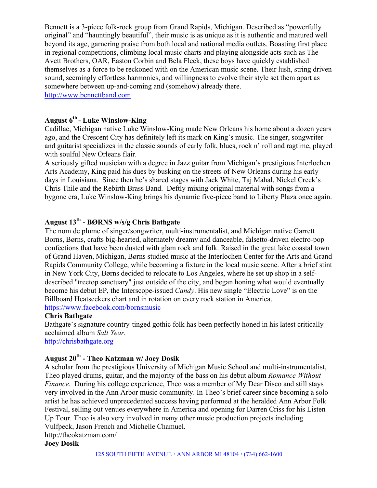Bennett is a 3-piece folk-rock group from Grand Rapids, Michigan. Described as "powerfully original" and "hauntingly beautiful", their music is as unique as it is authentic and matured well beyond its age, garnering praise from both local and national media outlets. Boasting first place in regional competitions, climbing local music charts and playing alongside acts such as The Avett Brothers, OAR, Easton Corbin and Bela Fleck, these boys have quickly established themselves as a force to be reckoned with on the American music scene. Their lush, string driven sound, seemingly effortless harmonies, and willingness to evolve their style set them apart as somewhere between up-and-coming and (somehow) already there.

http://www.bennettband.com

# **August 6th - Luke Winslow-King**

Cadillac, Michigan native Luke Winslow-King made New Orleans his home about a dozen years ago, and the Crescent City has definitely left its mark on King's music. The singer, songwriter and guitarist specializes in the classic sounds of early folk, blues, rock n' roll and ragtime, played with soulful New Orleans flair.

A seriously gifted musician with a degree in Jazz guitar from Michigan's prestigious Interlochen Arts Academy, King paid his dues by busking on the streets of New Orleans during his early days in Louisiana. Since then he's shared stages with Jack White, Taj Mahal, Nickel Creek's Chris Thile and the Rebirth Brass Band. Deftly mixing original material with songs from a bygone era, Luke Winslow-King brings his dynamic five-piece band to Liberty Plaza once again.

## **August 13th - BØRNS w/s/g Chris Bathgate**

The nom de plume of singer/songwriter, multi-instrumentalist, and Michigan native Garrett Borns, Børns, crafts big-hearted, alternately dreamy and danceable, falsetto-driven electro-pop confections that have been dusted with glam rock and folk. Raised in the great lake coastal town of Grand Haven, Michigan, Børns studied music at the Interlochen Center for the Arts and Grand Rapids Community College, while becoming a fixture in the local music scene. After a brief stint in New York City, Børns decided to relocate to Los Angeles, where he set up shop in a selfdescribed "treetop sanctuary" just outside of the city, and began honing what would eventually become his debut EP, the Interscope-issued *Candy*. His new single "Electric Love" is on the Billboard Heatseekers chart and in rotation on every rock station in America. https://www.facebook.com/bornsmusic

#### **Chris Bathgate**

Bathgate's signature country-tinged gothic folk has been perfectly honed in his latest critically acclaimed album *Salt Year.* http://chrisbathgate.org

# **August 20th - Theo Katzman w/ Joey Dosik**

A scholar from the prestigious University of Michigan Music School and multi-instrumentalist, Theo played drums, guitar, and the majority of the bass on his debut album *Romance Without Finance*. During his college experience, Theo was a member of My Dear Disco and still stays very involved in the Ann Arbor music community. In Theo's brief career since becoming a solo artist he has achieved unprecedented success having performed at the heralded Ann Arbor Folk Festival, selling out venues everywhere in America and opening for Darren Criss for his Listen Up Tour. Theo is also very involved in many other music production projects including Vulfpeck, Jason French and Michelle Chamuel. http://theokatzman.com/

**Joey Dosik**